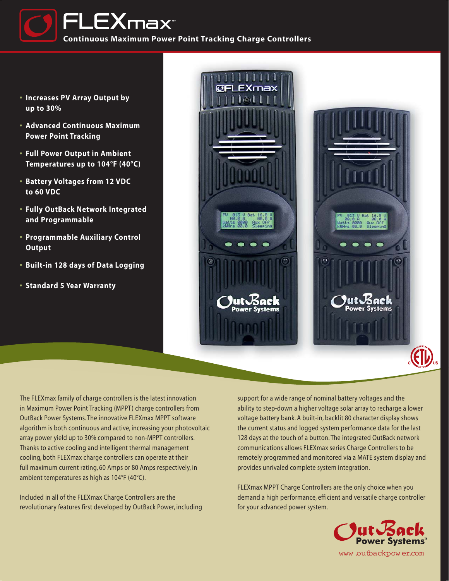

- **• Increases PV Array Output by up to 30%**
- **• Advanced Continuous Maximum Power Point Tracking**
- **• Full Power Output in Ambient Temperatures up to 104°F (40°C)**
- **• Battery Voltages from 12 VDC to 60 VDC**
- **• Fully OutBack Network Integrated and Programmable**
- **• Programmable Auxiliary Control Output**
- **• Built-in 128 days of Data Logging**
- **• Standard 5 Year Warranty**



support for a wide range of nominal battery voltages and the ability to step-down a higher voltage solar array to recharge a lower voltage battery bank. A built-in, backlit 80 character display shows the current status and logged system performance data for the last 128 days at the touch of a button. The integrated OutBack network communications allows FLEXmax series Charge Controllers to be remotely programmed and monitored via a MATE system display and provides unrivaled complete system integration.

FLEXmax MPPT Charge Controllers are the only choice when you demand a high performance, efficient and versatile charge controller for your advanced power system.



The FLEXmax family of charge controllers is the latest innovation in Maximum Power Point Tracking (MPPT) charge controllers from OutBack Power Systems. The innovative FLEXmax MPPT software algorithm is both continuous and active, increasing your photovoltaic array power yield up to 30% compared to non-MPPT controllers. Thanks to active cooling and intelligent thermal management cooling, both FLEXmax charge controllers can operate at their full maximum current rating, 60 Amps or 80 Amps respectively, in ambient temperatures as high as 104°F (40°C).

Included in all of the FLEXmax Charge Controllers are the revolutionary features first developed by OutBack Power, including

www.outbackpow er.com